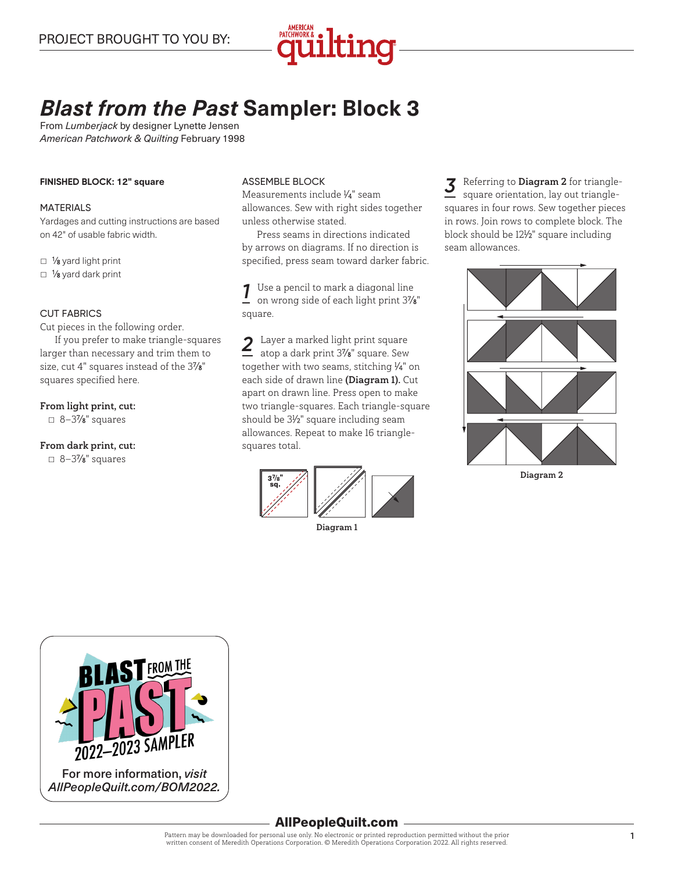

# *Blast from the Past* **Sampler: Block 3**

From *Lumberjack* by designer Lynette Jensen *American Patchwork & Quilting* February 1998

#### **FINISHED BLOCK: 12" square**

#### MATERIALS

Yardages and cutting instructions are based on 42" of usable fabric width.

□ 1⁄8 yard light print

 $\Box$  1/8 yard dark print

#### CUT FABRICS

Cut pieces in the following order.

If you prefer to make triangle-squares larger than necessary and trim them to size, cut 4" squares instead of the 37⁄8" squares specified here.

#### From light print, cut:

 $\Box$  8-3%" squares

## From dark print, cut:

 $\Box$  8–3%" squares

#### ASSEMBLE BLOCK

Measurements include 1 ⁄4" seam allowances. Sew with right sides together unless otherwise stated.

Press seams in directions indicated by arrows on diagrams. If no direction is specified, press seam toward darker fabric.

*1* Use a pencil to mark a diagonal line on wrong side of each light print 37⁄8" square.

2 Layer a marked light print square<br>atop a dark print 3%<sup>r</sup> square Sew atop a dark print 37⁄8" square. Sew together with two seams, stitching 1 ⁄4" on each side of drawn line (Diagram 1). Cut apart on drawn line. Press open to make two triangle-squares. Each triangle-square should be 31 ⁄2" square including seam allowances. Repeat to make 16 trianglesquares total.



Diagram 1

*3* Referring to Diagram <sup>2</sup> for trianglesquare orientation, lay out trianglesquares in four rows. Sew together pieces in rows. Join rows to complete block. The block should be 121 ⁄2" square including seam allowances.



Diagram 2



# AllPeopleQuilt.com